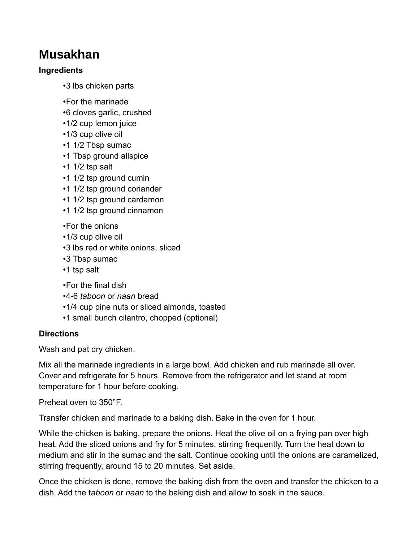## **Musakhan**

## **Ingredients**

- •3 lbs chicken parts
- •For the marinade
- •6 cloves garlic, crushed
- •1/2 cup lemon juice
- •1/3 cup olive oil
- •1 1/2 Tbsp sumac
- •1 Tbsp ground allspice
- •1 1/2 tsp salt
- •1 1/2 tsp ground cumin
- •1 1/2 tsp ground coriander
- •1 1/2 tsp ground cardamon
- •1 1/2 tsp ground cinnamon
- •For the onions
- •1/3 cup olive oil
- •3 lbs red or white onions, sliced
- •3 Tbsp sumac
- •1 tsp salt
- •For the final dish
- •4-6 *taboon* or *naan* bread
- •1/4 cup pine nuts or sliced almonds, toasted
- •1 small bunch cilantro, chopped (optional)

## **Directions**

Wash and pat dry chicken.

Mix all the marinade ingredients in a large bowl. Add chicken and rub marinade all over. Cover and refrigerate for 5 hours. Remove from the refrigerator and let stand at room temperature for 1 hour before cooking.

Preheat oven to 350°F.

Transfer chicken and marinade to a baking dish. Bake in the oven for 1 hour.

While the chicken is baking, prepare the onions. Heat the olive oil on a frying pan over high heat. Add the sliced onions and fry for 5 minutes, stirring frequently. Turn the heat down to medium and stir in the sumac and the salt. Continue cooking until the onions are caramelized, stirring frequently, around 15 to 20 minutes. Set aside.

Once the chicken is done, remove the baking dish from the oven and transfer the chicken to a dish. Add the t*aboon* or *naan* to the baking dish and allow to soak in the sauce.